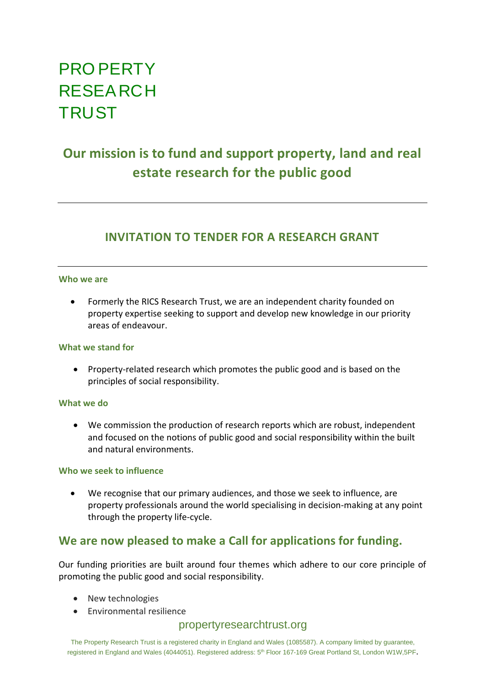# PRO PERTY RESEARCH **TRUST**

# **Our mission is to fund and support property, land and real estate research for the public good**

# **INVITATION TO TENDER FOR A RESEARCH GRANT**

### **Who we are**

• Formerly the RICS Research Trust, we are an independent charity founded on property expertise seeking to support and develop new knowledge in our priority areas of endeavour.

### **What we stand for**

• Property-related research which promotes the public good and is based on the principles of social responsibility.

# **What we do**

• We commission the production of research reports which are robust, independent and focused on the notions of public good and social responsibility within the built and natural environments.

# **Who we seek to influence**

• We recognise that our primary audiences, and those we seek to influence, are property professionals around the world specialising in decision-making at any point through the property life-cycle.

# **We are now pleased to make a Call for applications for funding.**

Our funding priorities are built around four themes which adhere to our core principle of promoting the public good and social responsibility.

- New technologies
- Environmental resilience

# propertyresearchtrust.org

The Property Research Trust is a registered charity in England and Wales (1085587). A company limited by guarantee, registered in England and Wales (4044051). Registered address: 5<sup>th</sup> Floor 167-169 Great Portland St, London W1W,5PF.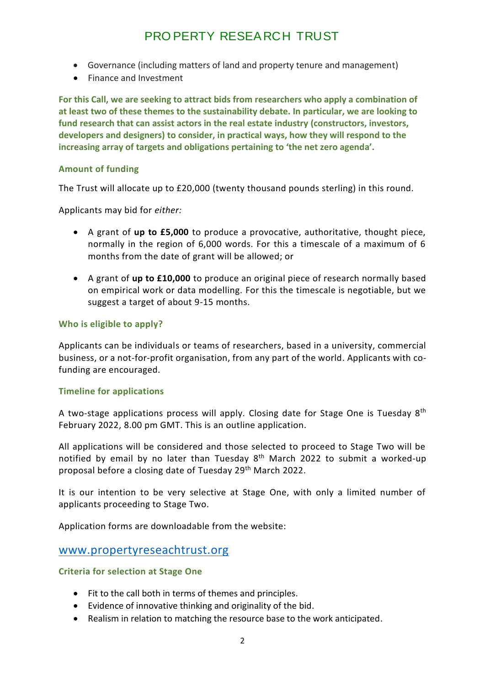# PRO PERTY RESEARCH TRUST

- Governance (including matters of land and property tenure and management)
- Finance and Investment

**For this Call, we are seeking to attract bids from researchers who apply a combination of at least two of these themes to the sustainability debate. In particular, we are looking to fund research that can assist actors in the real estate industry (constructors, investors, developers and designers) to consider, in practical ways, how they will respond to the increasing array of targets and obligations pertaining to 'the net zero agenda'.**

# **Amount of funding**

The Trust will allocate up to £20,000 (twenty thousand pounds sterling) in this round.

Applicants may bid for *either:*

- A grant of **up to £5,000** to produce a provocative, authoritative, thought piece, normally in the region of 6,000 words. For this a timescale of a maximum of 6 months from the date of grant will be allowed; or
- A grant of **up to £10,000** to produce an original piece of research normally based on empirical work or data modelling. For this the timescale is negotiable, but we suggest a target of about 9-15 months.

# **Who is eligible to apply?**

Applicants can be individuals or teams of researchers, based in a university, commercial business, or a not-for-profit organisation, from any part of the world. Applicants with cofunding are encouraged.

# **Timeline for applications**

A two-stage applications process will apply. Closing date for Stage One is Tuesday  $8<sup>th</sup>$ February 2022, 8.00 pm GMT. This is an outline application.

All applications will be considered and those selected to proceed to Stage Two will be notified by email by no later than Tuesday  $8<sup>th</sup>$  March 2022 to submit a worked-up proposal before a closing date of Tuesday 29th March 2022.

It is our intention to be very selective at Stage One, with only a limited number of applicants proceeding to Stage Two.

Application forms are downloadable from the website:

# [www.propertyreseachtrust.org](http://www.propertyreseachtrust.org/)

# **Criteria for selection at Stage One**

- Fit to the call both in terms of themes and principles.
- Evidence of innovative thinking and originality of the bid.
- Realism in relation to matching the resource base to the work anticipated.